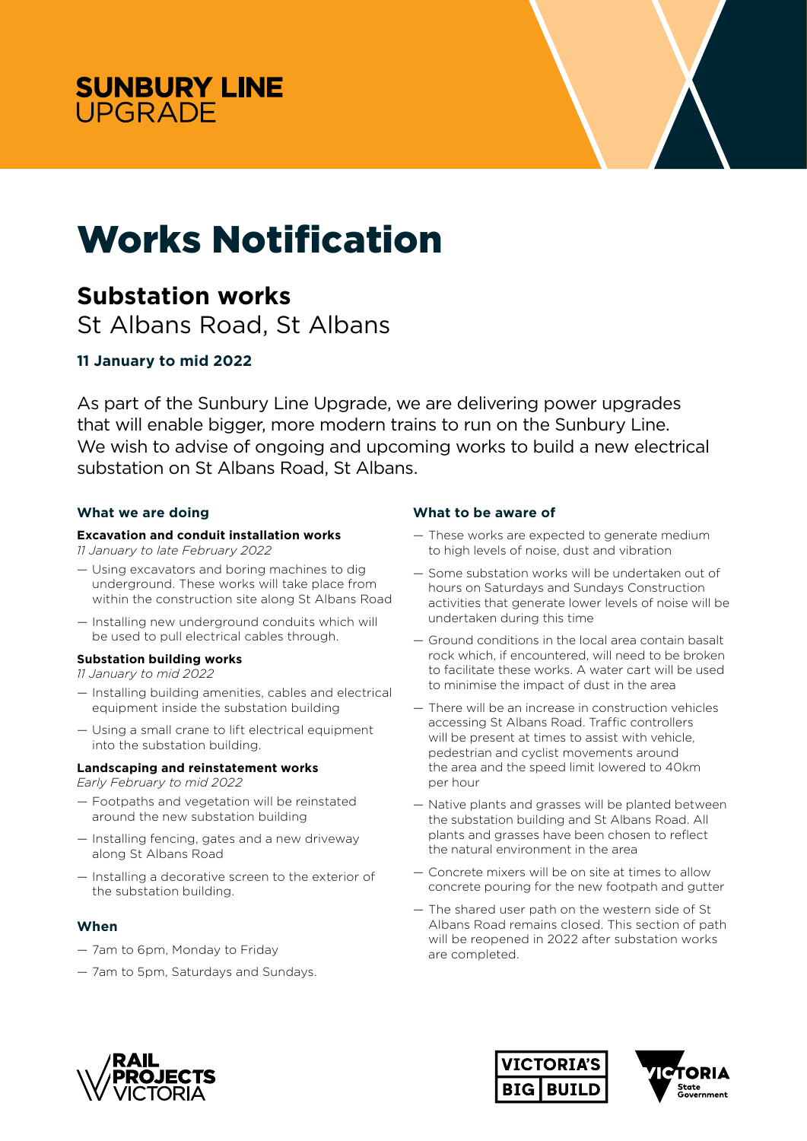



# Works Notification

## **Substation works**

St Albans Road, St Albans

### **11 January to mid 2022**

As part of the Sunbury Line Upgrade, we are delivering power upgrades that will enable bigger, more modern trains to run on the Sunbury Line. We wish to advise of ongoing and upcoming works to build a new electrical substation on St Albans Road, St Albans.

#### **What we are doing**

#### **Excavation and conduit installation works**

*11 January to late February 2022* 

- Using excavators and boring machines to dig underground. These works will take place from within the construction site along St Albans Road
- Installing new underground conduits which will be used to pull electrical cables through.

#### **Substation building works**

- *11 January to mid 2022*
- Installing building amenities, cables and electrical equipment inside the substation building
- Using a small crane to lift electrical equipment into the substation building.

#### **Landscaping and reinstatement works**

*Early February to mid 2022*

- Footpaths and vegetation will be reinstated around the new substation building
- Installing fencing, gates and a new driveway along St Albans Road
- Installing a decorative screen to the exterior of the substation building.

#### **When**

- 7am to 6pm, Monday to Friday
- 7am to 5pm, Saturdays and Sundays.

#### **What to be aware of**

- These works are expected to generate medium to high levels of noise, dust and vibration
- Some substation works will be undertaken out of hours on Saturdays and Sundays Construction activities that generate lower levels of noise will be undertaken during this time
- Ground conditions in the local area contain basalt rock which, if encountered, will need to be broken to facilitate these works. A water cart will be used to minimise the impact of dust in the area
- There will be an increase in construction vehicles accessing St Albans Road. Traffic controllers will be present at times to assist with vehicle. pedestrian and cyclist movements around the area and the speed limit lowered to 40km per hour
- Native plants and grasses will be planted between the substation building and St Albans Road. All plants and grasses have been chosen to reflect the natural environment in the area
- Concrete mixers will be on site at times to allow concrete pouring for the new footpath and gutter
- The shared user path on the western side of St Albans Road remains closed. This section of path will be reopened in 2022 after substation works are completed.